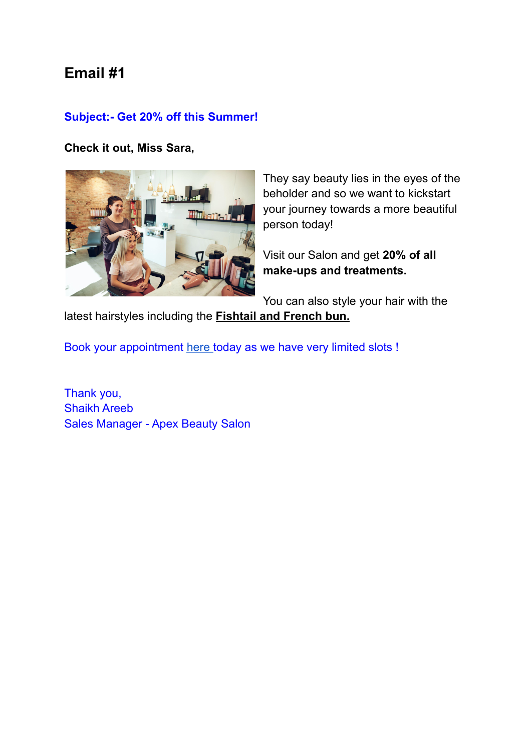# **Email #1**

### **Subject:- Get 20% off this Summer!**

**Check it out, Miss Sara,**



They say beauty lies in the eyes of the beholder and so we want to kickstart your journey towards a more beautiful person today!

Visit our Salon and get **20% of all make-ups and treatments.**

You can also style your hair with the latest hairstyles including the **Fishtail and French bun.**

Book your appointment [here](https://www.google.com/search?q=email&rlz=1C1PNBB_enIN989IN989&oq=email&aqs=chrome..69i57j69i59l3j0i433i512j69i61j69i60l2.1895j0j7&sourceid=chrome&ie=UTF-8) today as we have very limited slots !

Thank you, Shaikh Areeb Sales Manager - Apex Beauty Salon